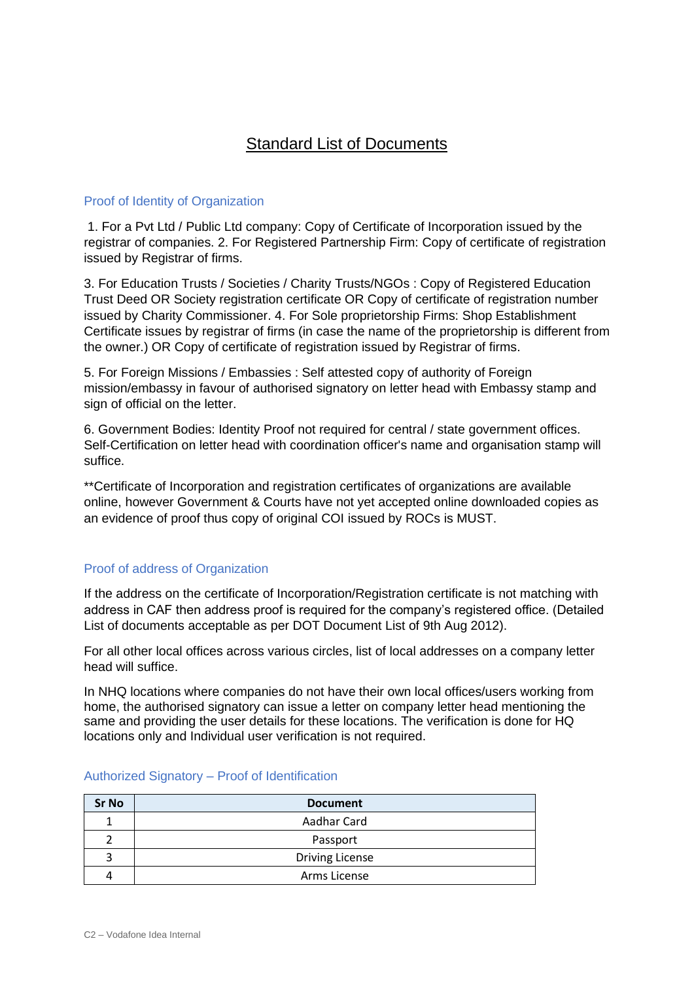## Standard List of Documents

## Proof of Identity of Organization

1. For a Pvt Ltd / Public Ltd company: Copy of Certificate of Incorporation issued by the registrar of companies. 2. For Registered Partnership Firm: Copy of certificate of registration issued by Registrar of firms.

3. For Education Trusts / Societies / Charity Trusts/NGOs : Copy of Registered Education Trust Deed OR Society registration certificate OR Copy of certificate of registration number issued by Charity Commissioner. 4. For Sole proprietorship Firms: Shop Establishment Certificate issues by registrar of firms (in case the name of the proprietorship is different from the owner.) OR Copy of certificate of registration issued by Registrar of firms.

5. For Foreign Missions / Embassies : Self attested copy of authority of Foreign mission/embassy in favour of authorised signatory on letter head with Embassy stamp and sign of official on the letter.

6. Government Bodies: Identity Proof not required for central / state government offices. Self-Certification on letter head with coordination officer's name and organisation stamp will suffice.

\*\*Certificate of Incorporation and registration certificates of organizations are available online, however Government & Courts have not yet accepted online downloaded copies as an evidence of proof thus copy of original COI issued by ROCs is MUST.

## Proof of address of Organization

If the address on the certificate of Incorporation/Registration certificate is not matching with address in CAF then address proof is required for the company's registered office. (Detailed List of documents acceptable as per DOT Document List of 9th Aug 2012).

For all other local offices across various circles, list of local addresses on a company letter head will suffice.

In NHQ locations where companies do not have their own local offices/users working from home, the authorised signatory can issue a letter on company letter head mentioning the same and providing the user details for these locations. The verification is done for HQ locations only and Individual user verification is not required.

| <b>Sr No</b> | <b>Document</b>        |
|--------------|------------------------|
|              | Aadhar Card            |
|              | Passport               |
|              | <b>Driving License</b> |
|              | Arms License           |

## Authorized Signatory – Proof of Identification